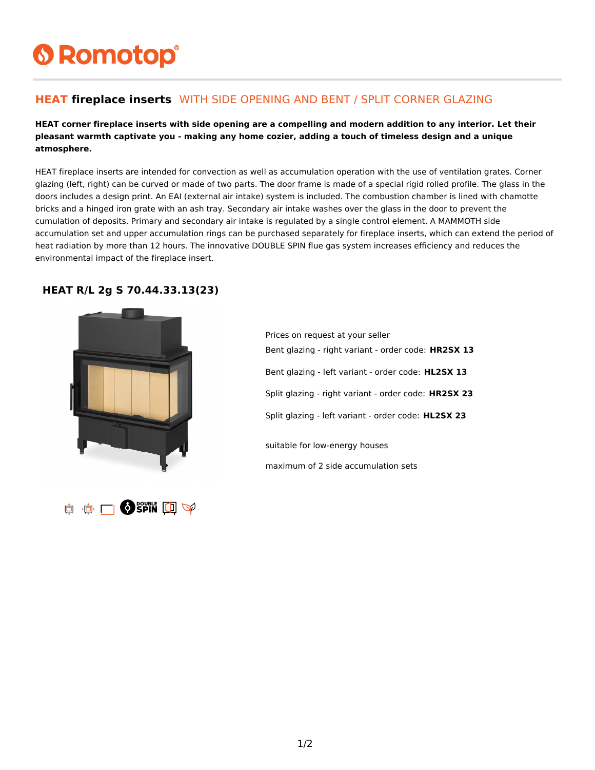# **6 Romotop®**

### **HEAT fireplace inserts** WITH SIDE OPENING AND BENT / SPLIT CORNER GLAZING

#### **HEAT corner fireplace inserts with side opening are a compelling and modern addition to any interior. Let their pleasant warmth captivate you - making any home cozier, adding a touch of timeless design and a unique atmosphere.**

HEAT fireplace inserts are intended for convection as well as accumulation operation with the use of ventilation grates. Corner glazing (left, right) can be curved or made of two parts. The door frame is made of a special rigid rolled profile. The glass in the doors includes a design print. An EAI (external air intake) system is included. The combustion chamber is lined with chamotte bricks and a hinged iron grate with an ash tray. Secondary air intake washes over the glass in the door to prevent the cumulation of deposits. Primary and secondary air intake is regulated by a single control element. A MAMMOTH side accumulation set and upper accumulation rings can be purchased separately for fireplace inserts, which can extend the period of heat radiation by more than 12 hours. The innovative DOUBLE SPIN flue gas system increases efficiency and reduces the environmental impact of the fireplace insert.

#### **HEAT R/L 2g S 70.44.33.13(23)**





Prices on request at your seller Bent glazing - right variant - order code: **HR2SX 13** Bent glazing - left variant - order code: **HL2SX 13** Split glazing - right variant - order code: **HR2SX 23** Split glazing - left variant - order code: **HL2SX 23** suitable for low-energy houses maximum of 2 side accumulation sets